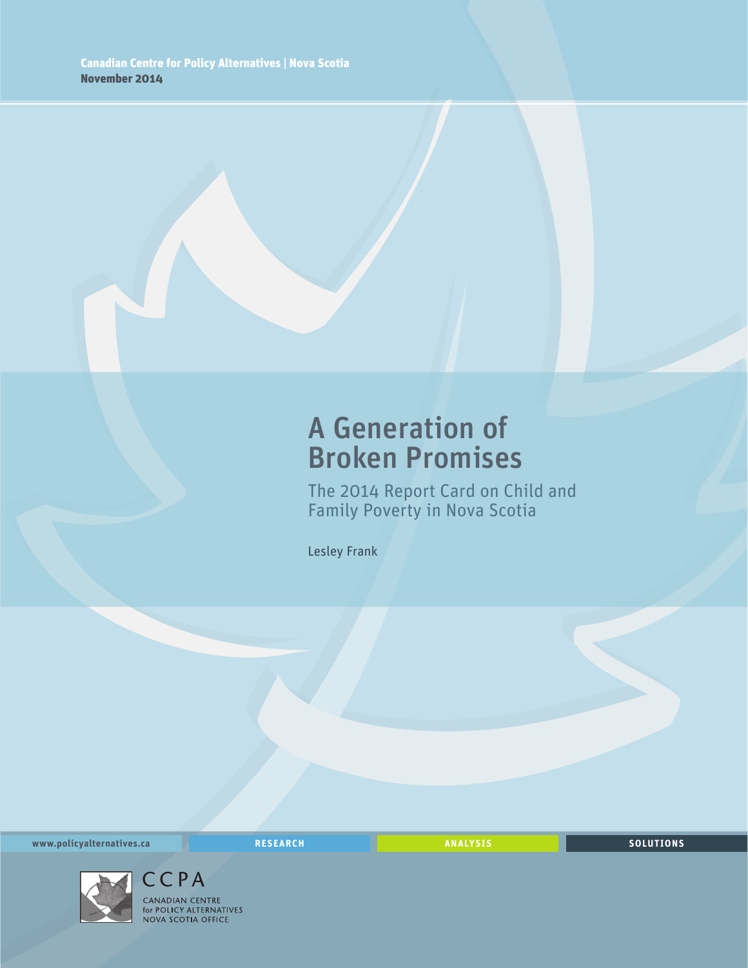## A Generation of Broken Promises

The 2014 Report Card on Child and Family Poverty in Nova Scotia

Lesley Frank

**www.policyalternatives.ca** <mark>RESEARCH</mark> ANALYSIS SOLUTIONS



CCPA CANADIAN CENTRE **CANADIAN CENTRE**<br>for POLICY ALTERNATIVES<br>NOVA SCOTIA OFFICE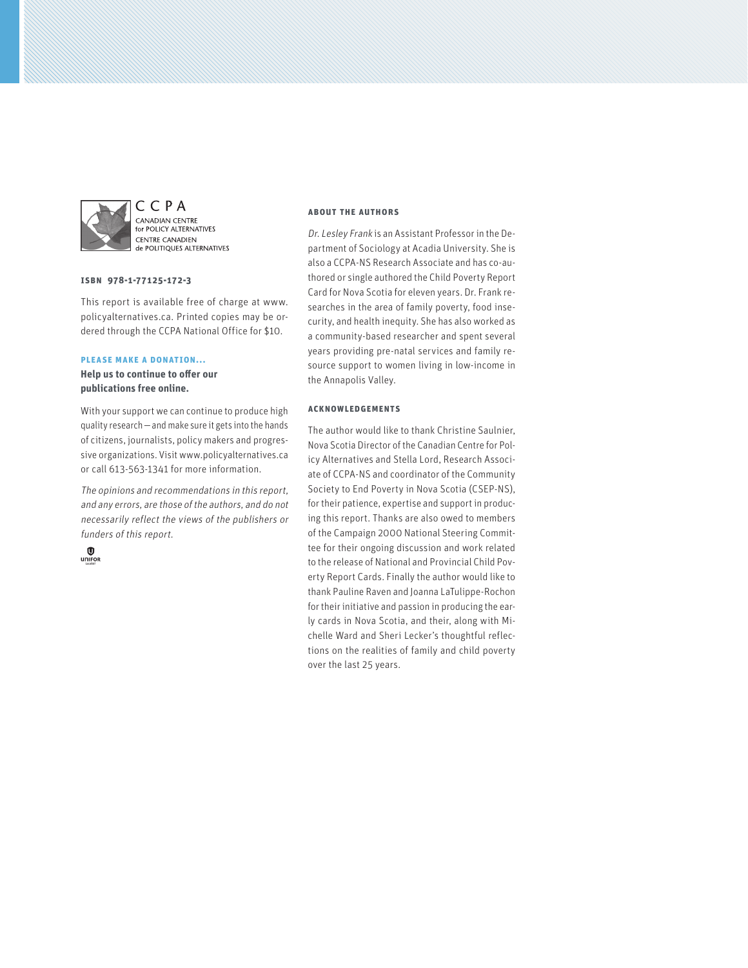

CCPA CANADIAN CENTRE **EXEMPLIER CERVINE**<br>for POLICY ALTERNATIVES **CENTRE CANADIEN** de POLITIQUES ALTERNATIVES

#### **ISBN 978-1-77125-172-3**

This report is available free of charge at www. policyalternatives.ca. Printed copies may be ordered through the CCPA National Office for \$10.

#### **Please make a donation...**

**Help us to continue to offer our publications free online.**

With your support we can continue to produce high quality research—and make sure it gets into the hands of citizens, journalists, policy makers and progressive organizations. Visit www.policyalternatives.ca or call 613-563-1341 for more information.

The opinions and recommendations in this report, and any errors, are those of the authors, and do not necessarily reflect the views of the publishers or funders of this report.



#### **About the authors**

Dr. Lesley Frank is an Assistant Professor in the Department of Sociology at Acadia University. She is also a CCPA-NS Research Associate and has co-authored or single authored the Child Poverty Report Card for Nova Scotia for eleven years. Dr. Frank researches in the area of family poverty, food insecurity, and health inequity. She has also worked as a community-based researcher and spent several years providing pre-natal services and family resource support to women living in low-income in the Annapolis Valley.

#### **Acknowledgements**

The author would like to thank Christine Saulnier, Nova Scotia Director of the Canadian Centre for Policy Alternatives and Stella Lord, Research Associate of CCPA-NS and coordinator of the Community Society to End Poverty in Nova Scotia (CSEP-NS), for their patience, expertise and support in producing this report. Thanks are also owed to members of the Campaign 2000 National Steering Committee for their ongoing discussion and work related to the release of National and Provincial Child Poverty Report Cards. Finally the author would like to thank Pauline Raven and Joanna LaTulippe-Rochon for their initiative and passion in producing the early cards in Nova Scotia, and their, along with Michelle Ward and Sheri Lecker's thoughtful reflections on the realities of family and child poverty over the last 25 years.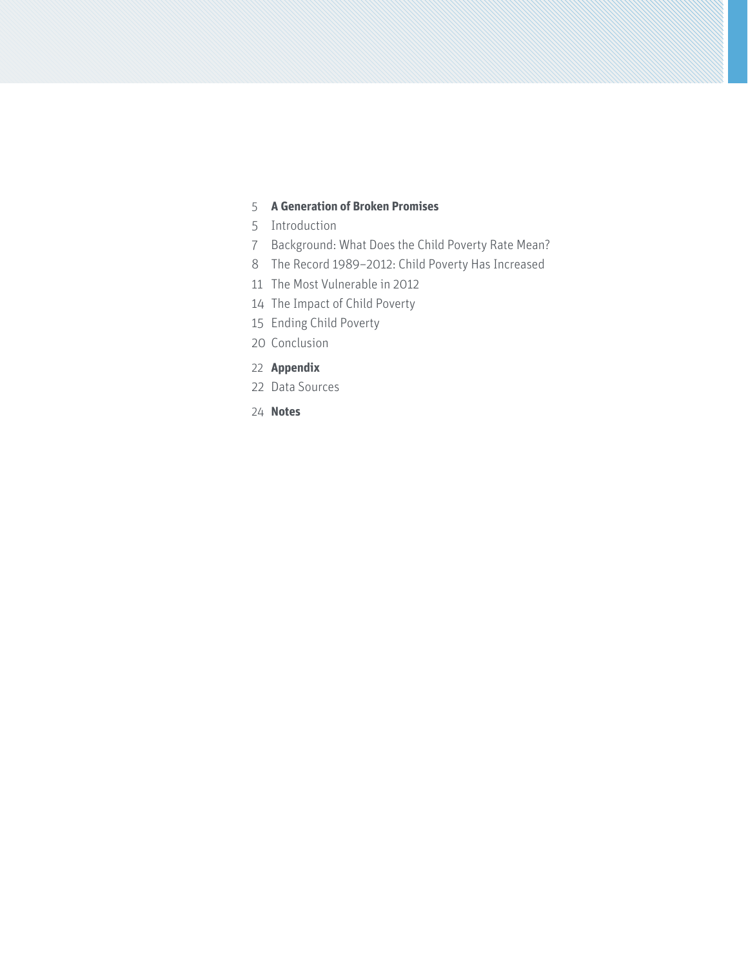#### **[A Generation of Broken Promises](#page-4-0)**

- [Introduction](#page-4-0)
- [Background: What Does the Child Poverty Rate Mean?](#page-6-0)
- [The Record 1989–2012: Child Poverty Has Increased](#page-7-0)
- [The Most Vulnerable in 2012](#page-10-0)
- [The Impact of Child Poverty](#page-13-0)
- [Ending Child Poverty](#page-14-0)
- [Conclusion](#page-19-0)
- **[Appendix](#page-21-0)**
- [Data Sources](#page-21-0)
- **[Notes](#page-23-0)**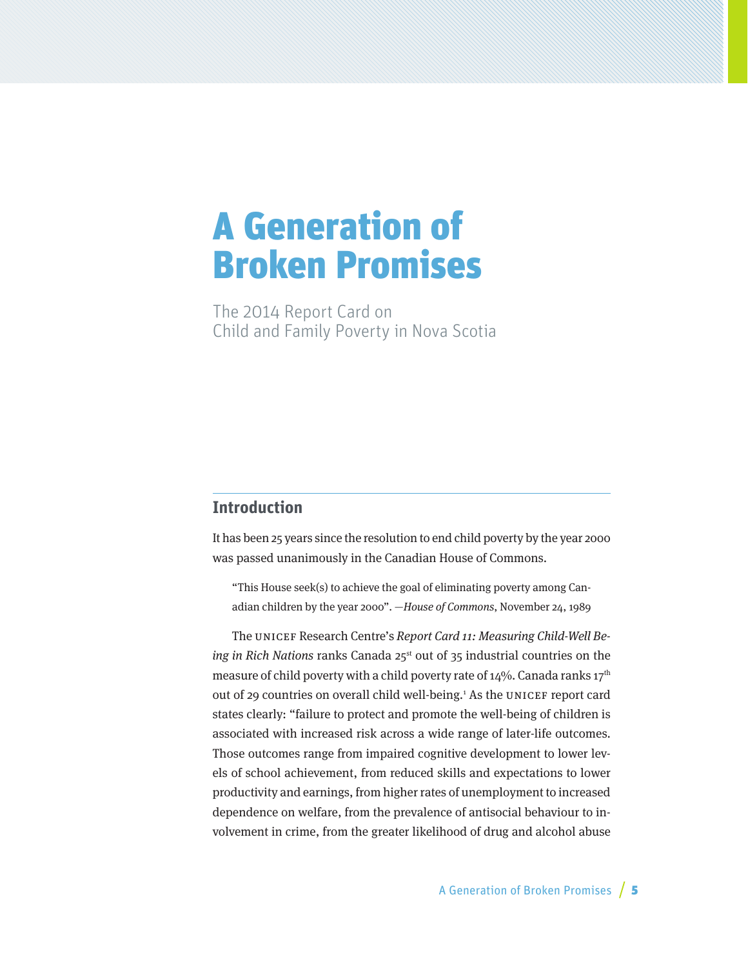# <span id="page-4-0"></span>A Generation of Broken Promises

The 2014 Report Card on Child and Family Poverty in Nova Scotia

## **Introduction**

It has been 25 years since the resolution to end child poverty by the year 2000 was passed unanimously in the Canadian House of Commons.

"This House seek(s) to achieve the goal of eliminating poverty among Canadian children by the year 2000". —House of Commons, November 24, 1989

The UNICEF Research Centre's Report Card 11: Measuring Child-Well Being in Rich Nations ranks Canada 25<sup>st</sup> out of 35 industrial countries on the measure of child poverty with a child poverty rate of  $14\%$ . Canada ranks  $17<sup>th</sup>$ out of 29 countries on overall child well-being.<sup>1</sup> As the UNICEF report card states clearly: "failure to protect and promote the well-being of children is associated with increased risk across a wide range of later-life outcomes. Those outcomes range from impaired cognitive development to lower levels of school achievement, from reduced skills and expectations to lower productivity and earnings, from higher rates of unemployment to increased dependence on welfare, from the prevalence of antisocial behaviour to involvement in crime, from the greater likelihood of drug and alcohol abuse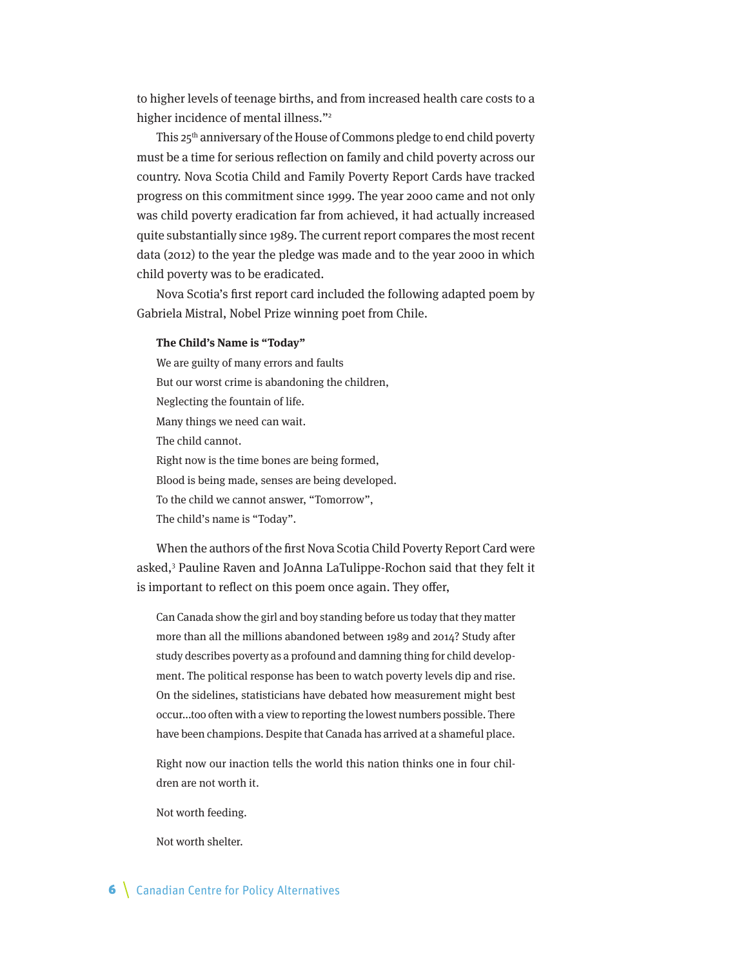to higher levels of teenage births, and from increased health care costs to a higher incidence of mental illness."<sup>2</sup>

This 25<sup>th</sup> anniversary of the House of Commons pledge to end child poverty must be a time for serious reflection on family and child poverty across our country. Nova Scotia Child and Family Poverty Report Cards have tracked progress on this commitment since 1999. The year 2000 came and not only was child poverty eradication far from achieved, it had actually increased quite substantially since 1989. The current report compares the most recent data (2012) to the year the pledge was made and to the year 2000 in which child poverty was to be eradicated.

Nova Scotia's first report card included the following adapted poem by Gabriela Mistral, Nobel Prize winning poet from Chile.

#### **The Child's Name is "Today"**

We are guilty of many errors and faults But our worst crime is abandoning the children, Neglecting the fountain of life. Many things we need can wait. The child cannot. Right now is the time bones are being formed, Blood is being made, senses are being developed. To the child we cannot answer, "Tomorrow", The child's name is "Today".

When the authors of the first Nova Scotia Child Poverty Report Card were asked,<sup>3</sup> Pauline Raven and JoAnna LaTulippe-Rochon said that they felt it is important to reflect on this poem once again. They offer,

Can Canada show the girl and boy standing before us today that they matter more than all the millions abandoned between 1989 and 2014? Study after study describes poverty as a profound and damning thing for child development. The political response has been to watch poverty levels dip and rise. On the sidelines, statisticians have debated how measurement might best occur...too often with a view to reporting the lowest numbers possible. There have been champions. Despite that Canada has arrived at a shameful place.

Right now our inaction tells the world this nation thinks one in four children are not worth it.

Not worth feeding.

Not worth shelter.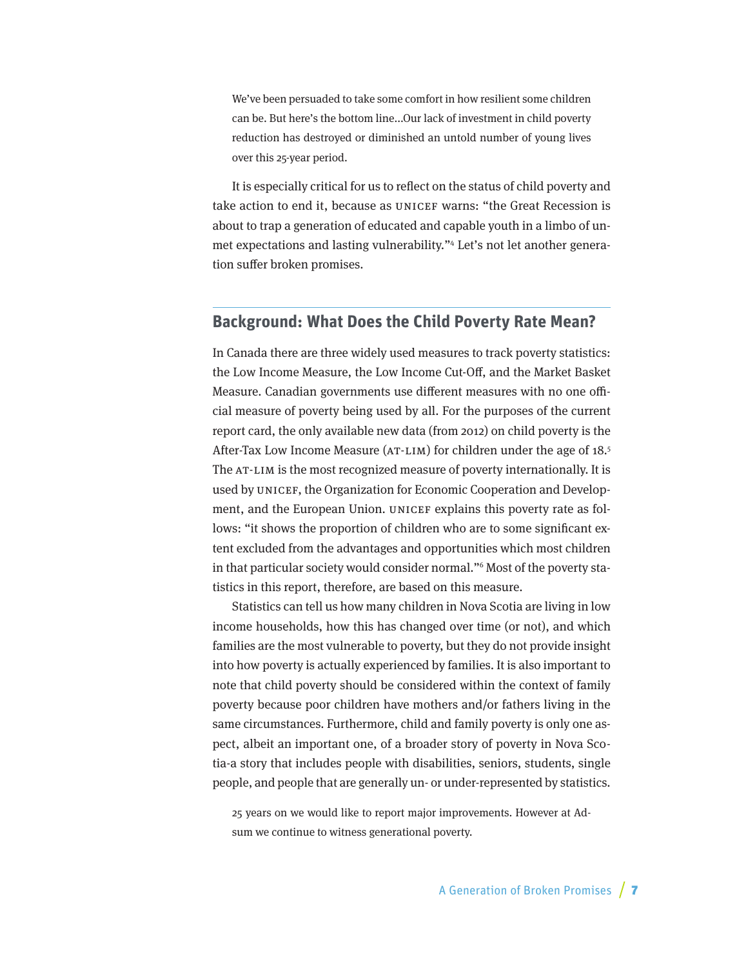<span id="page-6-0"></span>We've been persuaded to take some comfort in how resilient some children can be. But here's the bottom line...Our lack of investment in child poverty reduction has destroyed or diminished an untold number of young lives over this 25-year period.

It is especially critical for us to reflect on the status of child poverty and take action to end it, because as UNICEF warns: "the Great Recession is about to trap a generation of educated and capable youth in a limbo of unmet expectations and lasting vulnerability."4 Let's not let another generation suffer broken promises.

## **Background: What Does the Child Poverty Rate Mean?**

In Canada there are three widely used measures to track poverty statistics: the Low Income Measure, the Low Income Cut-Off, and the Market Basket Measure. Canadian governments use different measures with no one official measure of poverty being used by all. For the purposes of the current report card, the only available new data (from 2012) on child poverty is the After-Tax Low Income Measure (AT-LIM) for children under the age of 18.5 The AT-LIM is the most recognized measure of poverty internationally. It is used by UNICEF, the Organization for Economic Cooperation and Development, and the European Union. UNICEF explains this poverty rate as follows: "it shows the proportion of children who are to some significant extent excluded from the advantages and opportunities which most children in that particular society would consider normal."6 Most of the poverty statistics in this report, therefore, are based on this measure.

Statistics can tell us how many children in Nova Scotia are living in low income households, how this has changed over time (or not), and which families are the most vulnerable to poverty, but they do not provide insight into how poverty is actually experienced by families. It is also important to note that child poverty should be considered within the context of family poverty because poor children have mothers and/or fathers living in the same circumstances. Furthermore, child and family poverty is only one aspect, albeit an important one, of a broader story of poverty in Nova Scotia-a story that includes people with disabilities, seniors, students, single people, and people that are generally un- or under-represented by statistics.

25 years on we would like to report major improvements. However at Adsum we continue to witness generational poverty.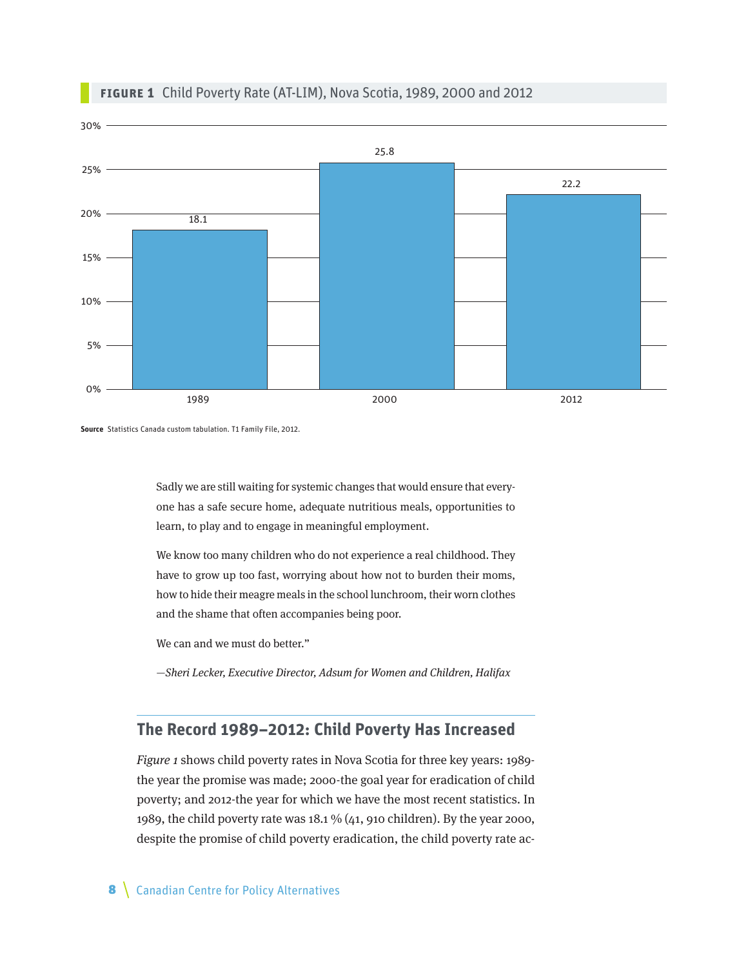<span id="page-7-0"></span>

#### **Figure 1** Child Poverty Rate (AT-LIM), Nova Scotia, 1989, 2000 and 2012

**Source** Statistics Canada custom tabulation. T1 Family File, 2012.

Sadly we are still waiting for systemic changes that would ensure that everyone has a safe secure home, adequate nutritious meals, opportunities to learn, to play and to engage in meaningful employment.

We know too many children who do not experience a real childhood. They have to grow up too fast, worrying about how not to burden their moms, how to hide their meagre meals in the school lunchroom, their worn clothes and the shame that often accompanies being poor.

We can and we must do better."

—Sheri Lecker, Executive Director, Adsum for Women and Children, Halifax

## **The Record 1989–2012: Child Poverty Has Increased**

Figure 1 shows child poverty rates in Nova Scotia for three key years: 1989 the year the promise was made; 2000-the goal year for eradication of child poverty; and 2012-the year for which we have the most recent statistics. In 1989, the child poverty rate was 18.1 % (41, 910 children). By the year 2000, despite the promise of child poverty eradication, the child poverty rate ac-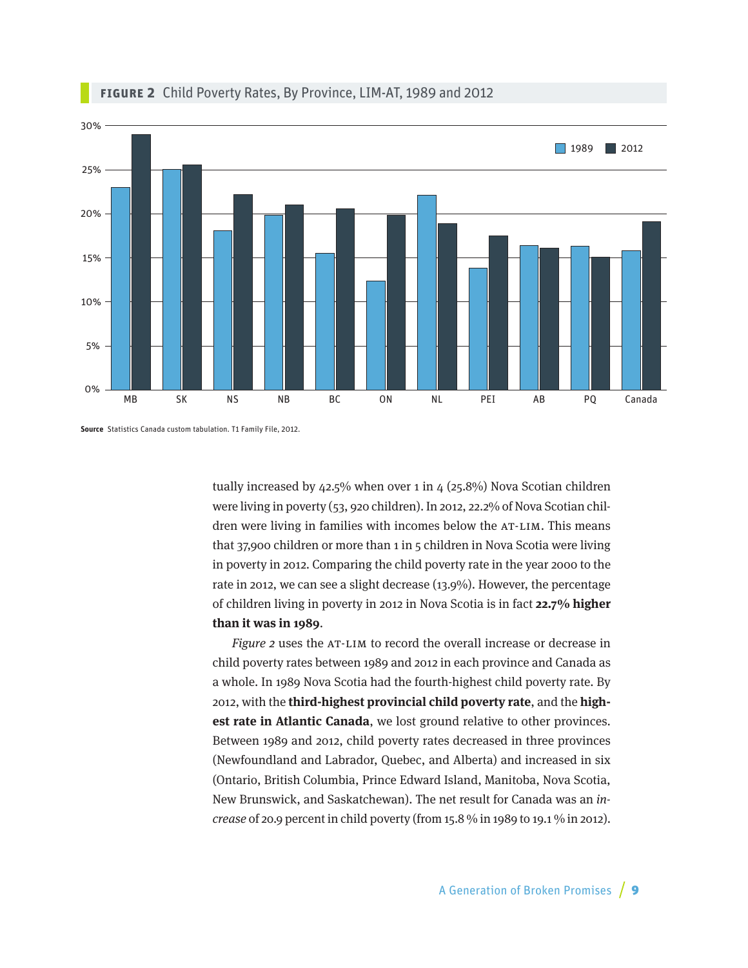

### **Figure 2** Child Poverty Rates, By Province, LIM-AT, 1989 and 2012

**Source** Statistics Canada custom tabulation. T1 Family File, 2012.

tually increased by  $42.5\%$  when over 1 in  $4(25.8\%)$  Nova Scotian children were living in poverty (53, 920 children). In 2012, 22.2% of Nova Scotian children were living in families with incomes below the AT-LIM. This means that 37,900 children or more than 1 in 5 children in Nova Scotia were living in poverty in 2012. Comparing the child poverty rate in the year 2000 to the rate in 2012, we can see a slight decrease (13.9%). However, the percentage of children living in poverty in 2012 in Nova Scotia is in fact **22.7% higher than it was in 1989**.

Figure 2 uses the AT-LIM to record the overall increase or decrease in child poverty rates between 1989 and 2012 in each province and Canada as a whole. In 1989 Nova Scotia had the fourth-highest child poverty rate. By 2012, with the **third-highest provincial child poverty rate**, and the **highest rate in Atlantic Canada**, we lost ground relative to other provinces. Between 1989 and 2012, child poverty rates decreased in three provinces (Newfoundland and Labrador, Quebec, and Alberta) and increased in six (Ontario, British Columbia, Prince Edward Island, Manitoba, Nova Scotia, New Brunswick, and Saskatchewan). The net result for Canada was an increase of 20.9 percent in child poverty (from 15.8 % in 1989 to 19.1 % in 2012).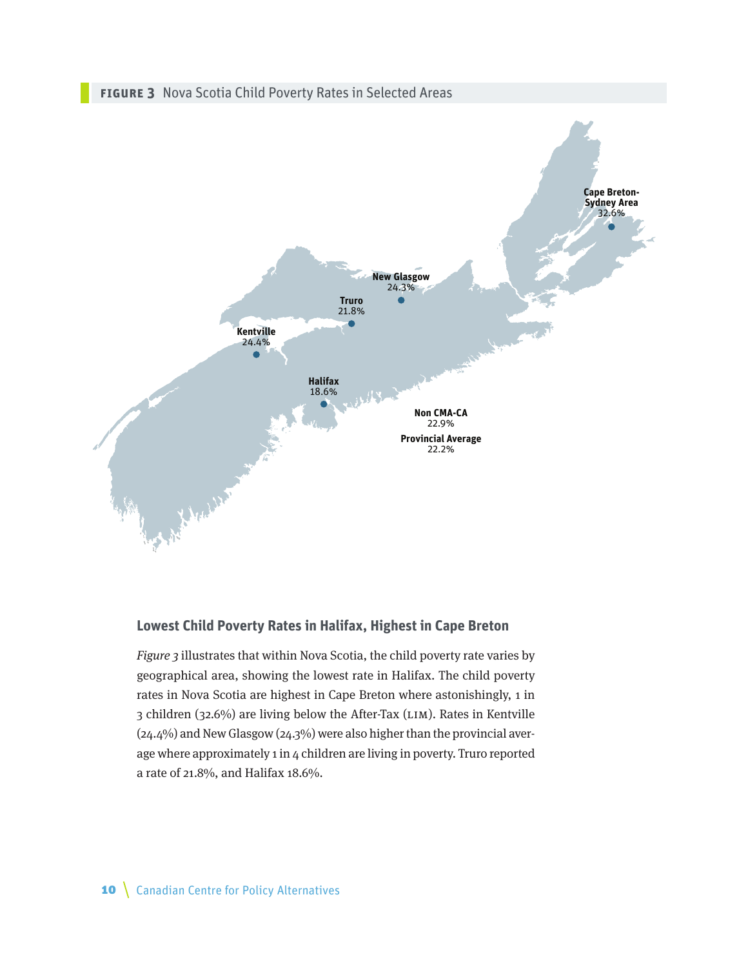

**Non CMA-CA** 22.9% **Provincial Average** 22.2%

## **Lowest Child Poverty Rates in Halifax, Highest in Cape Breton**

**Halifax** 18.6%

Figure 3 illustrates that within Nova Scotia, the child poverty rate varies by geographical area, showing the lowest rate in Halifax. The child poverty rates in Nova Scotia are highest in Cape Breton where astonishingly, 1 in 3 children (32.6%) are living below the After-Tax (LIM). Rates in Kentville (24.4%) and New Glasgow (24.3%) were also higher than the provincial average where approximately 1 in 4 children are living in poverty. Truro reported a rate of 21.8%, and Halifax 18.6%.

A Miller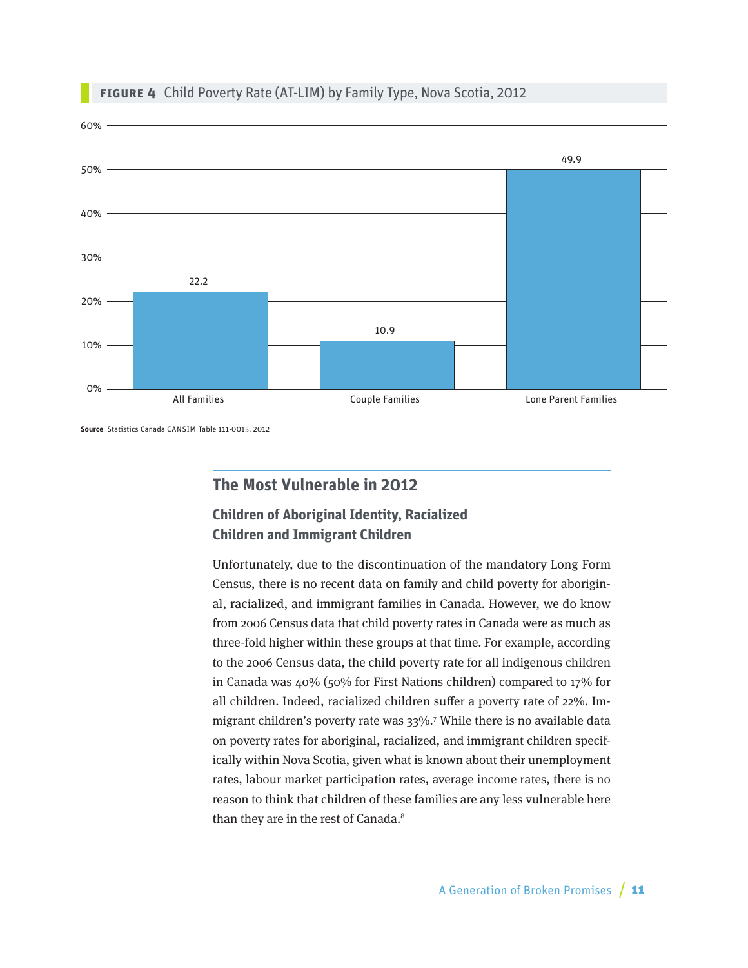

#### <span id="page-10-0"></span>**Figure 4** Child Poverty Rate (AT-LIM) by Family Type, Nova Scotia, 2012

**Source** Statistics Canada CANSIM Table 111-0015, 2012

## **The Most Vulnerable in 2012**

## **Children of Aboriginal Identity, Racialized Children and Immigrant Children**

Unfortunately, due to the discontinuation of the mandatory Long Form Census, there is no recent data on family and child poverty for aboriginal, racialized, and immigrant families in Canada. However, we do know from 2006 Census data that child poverty rates in Canada were as much as three-fold higher within these groups at that time. For example, according to the 2006 Census data, the child poverty rate for all indigenous children in Canada was 40% (50% for First Nations children) compared to 17% for all children. Indeed, racialized children suffer a poverty rate of 22%. Immigrant children's poverty rate was 33%.7 While there is no available data on poverty rates for aboriginal, racialized, and immigrant children specifically within Nova Scotia, given what is known about their unemployment rates, labour market participation rates, average income rates, there is no reason to think that children of these families are any less vulnerable here than they are in the rest of Canada.<sup>8</sup>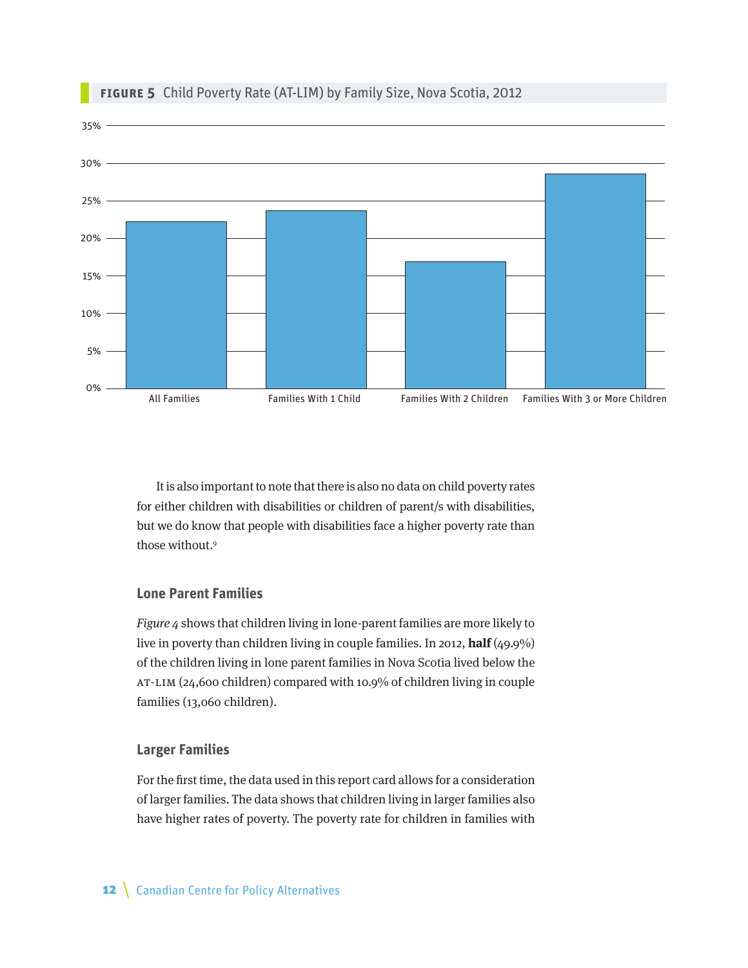

#### **Figure 5** Child Poverty Rate (AT-LIM) by Family Size, Nova Scotia, 2012

It is also important to note that there is also no data on child poverty rates for either children with disabilities or children of parent/s with disabilities, but we do know that people with disabilities face a higher poverty rate than those without.<sup>9</sup>

#### **Lone Parent Families**

Figure 4 shows that children living in lone-parent families are more likely to live in poverty than children living in couple families. In 2012, **half** (49.9%) of the children living in lone parent families in Nova Scotia lived below the AT-LIM (24,600 children) compared with 10.9% of children living in couple families (13,060 children).

#### **Larger Families**

For the first time, the data used in this report card allows for a consideration of larger families. The data shows that children living in larger families also have higher rates of poverty. The poverty rate for children in families with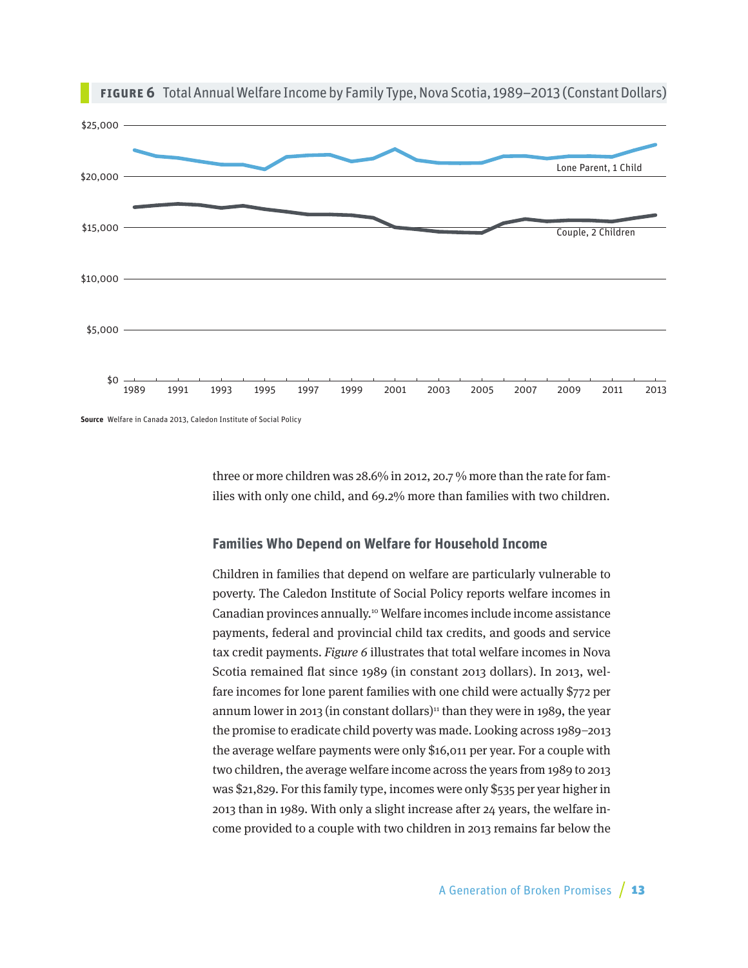



**Source** Welfare in Canada 2013, Caledon Institute of Social Policy

three or more children was 28.6% in 2012, 20.7 % more than the rate for families with only one child, and 69.2% more than families with two children.

#### **Families Who Depend on Welfare for Household Income**

Children in families that depend on welfare are particularly vulnerable to poverty. The Caledon Institute of Social Policy reports welfare incomes in Canadian provinces annually.10 Welfare incomes include income assistance payments, federal and provincial child tax credits, and goods and service tax credit payments. Figure 6 illustrates that total welfare incomes in Nova Scotia remained flat since 1989 (in constant 2013 dollars). In 2013, welfare incomes for lone parent families with one child were actually \$772 per annum lower in 2013 (in constant dollars)<sup>11</sup> than they were in 1989, the year the promise to eradicate child poverty was made. Looking across 1989–2013 the average welfare payments were only \$16,011 per year. For a couple with two children, the average welfare income across the years from 1989 to 2013 was \$21,829. For this family type, incomes were only \$535 per year higher in 2013 than in 1989. With only a slight increase after 24 years, the welfare income provided to a couple with two children in 2013 remains far below the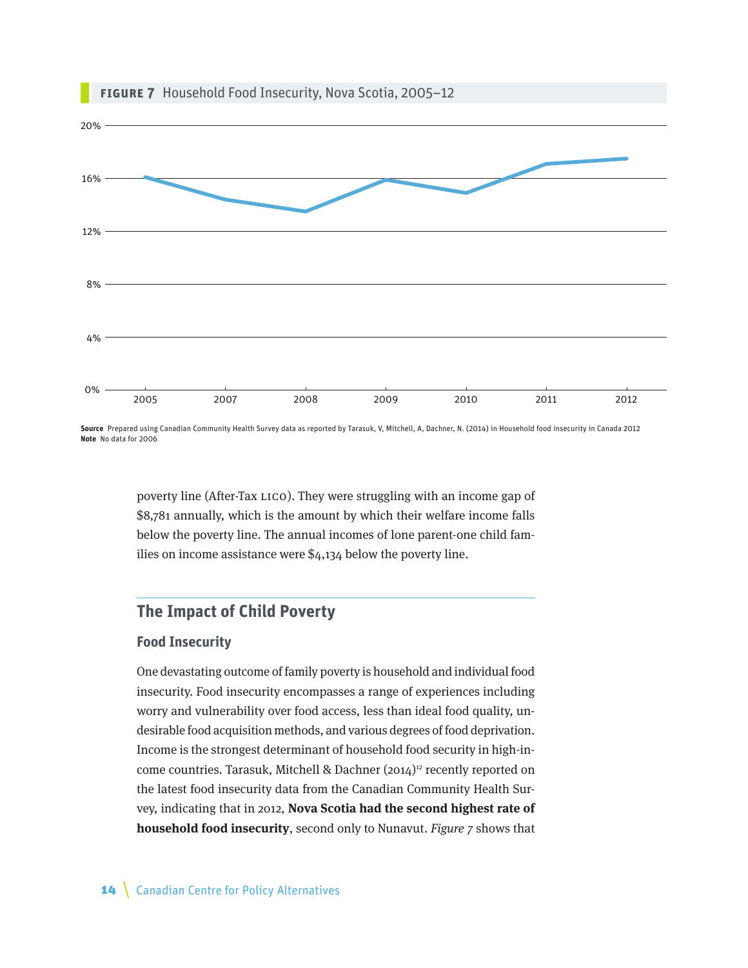<span id="page-13-0"></span>

**Source** Prepared using Canadian Community Health Survey data as reported by Tarasuk, V, Mitchell, A, Dachner, N. (2014) in Household food insecurity in Canada 2012 **Note** No data for 2006

> poverty line (After-Tax LICO). They were struggling with an income gap of \$8,781 annually, which is the amount by which their welfare income falls below the poverty line. The annual incomes of lone parent-one child families on income assistance were \$4,134 below the poverty line.

## **The Impact of Child Poverty**

#### **Food Insecurity**

One devastating outcome of family poverty is household and individual food insecurity. Food insecurity encompasses a range of experiences including worry and vulnerability over food access, less than ideal food quality, undesirable food acquisition methods, and various degrees of food deprivation. Income is the strongest determinant of household food security in high-income countries. Tarasuk, Mitchell & Dachner  $(2014)^{12}$  recently reported on the latest food insecurity data from the Canadian Community Health Survey, indicating that in 2012, **Nova Scotia had the second highest rate of household food insecurity**, second only to Nunavut. Figure 7 shows that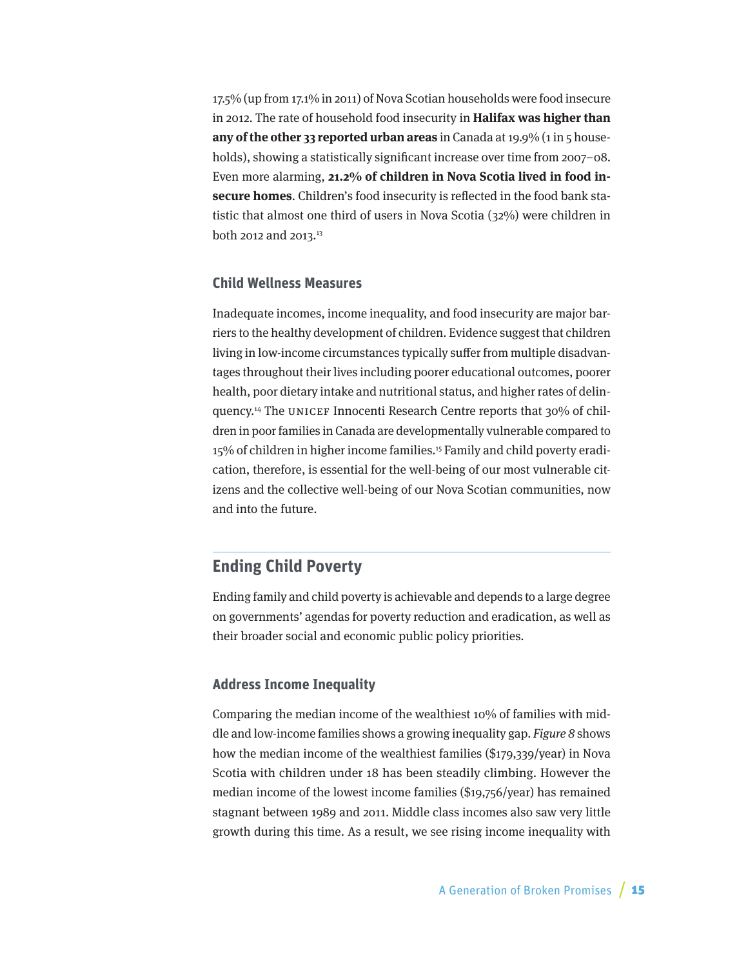<span id="page-14-0"></span>17.5% (up from 17.1% in 2011) of Nova Scotian households were food insecure in 2012. The rate of household food insecurity in **Halifax was higher than any of the other 33 reported urban areas** in Canada at 19.9% (1 in 5 households), showing a statistically significant increase over time from 2007–08. Even more alarming, **21.2% of children in Nova Scotia lived in food insecure homes**. Children's food insecurity is reflected in the food bank statistic that almost one third of users in Nova Scotia (32%) were children in both 2012 and 2013.13

#### **Child Wellness Measures**

Inadequate incomes, income inequality, and food insecurity are major barriers to the healthy development of children. Evidence suggest that children living in low-income circumstances typically suffer from multiple disadvantages throughout their lives including poorer educational outcomes, poorer health, poor dietary intake and nutritional status, and higher rates of delinquency.14 The UNICEF Innocenti Research Centre reports that 30% of children in poor families in Canada are developmentally vulnerable compared to 15% of children in higher income families.<sup>15</sup> Family and child poverty eradication, therefore, is essential for the well-being of our most vulnerable citizens and the collective well-being of our Nova Scotian communities, now and into the future.

## **Ending Child Poverty**

Ending family and child poverty is achievable and depends to a large degree on governments' agendas for poverty reduction and eradication, as well as their broader social and economic public policy priorities.

#### **Address Income Inequality**

Comparing the median income of the wealthiest 10% of families with middle and low-income families shows a growing inequality gap. Figure 8 shows how the median income of the wealthiest families (\$179,339/year) in Nova Scotia with children under 18 has been steadily climbing. However the median income of the lowest income families (\$19,756/year) has remained stagnant between 1989 and 2011. Middle class incomes also saw very little growth during this time. As a result, we see rising income inequality with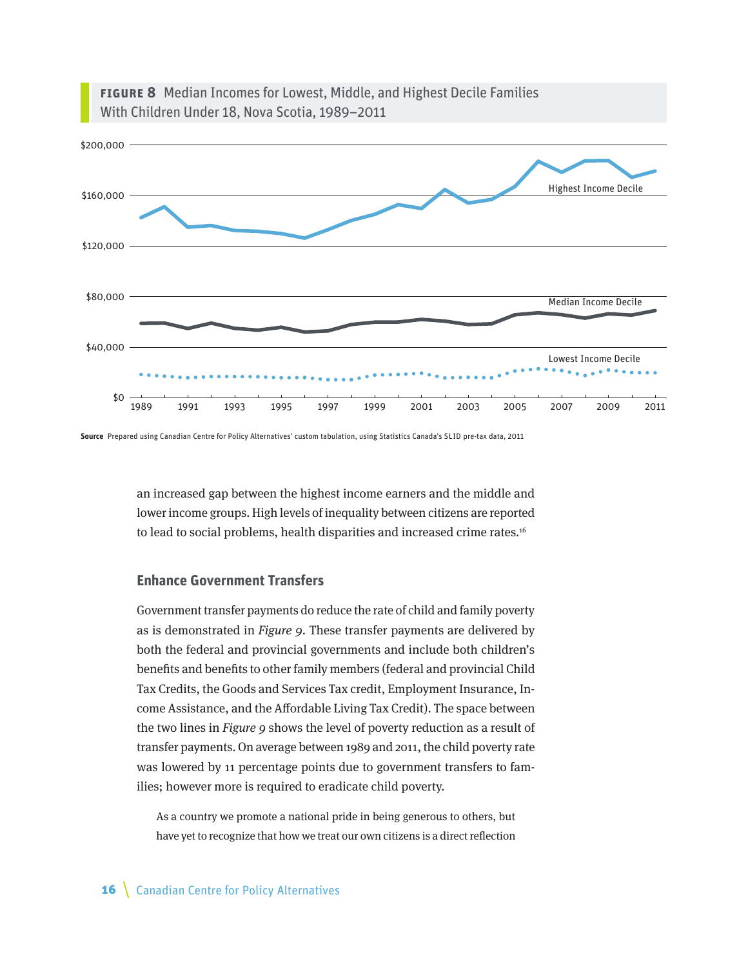



**Source** Prepared using Canadian Centre for Policy Alternatives' custom tabulation, using Statistics Canada's SLID pre-tax data, 2011

an increased gap between the highest income earners and the middle and lower income groups. High levels of inequality between citizens are reported to lead to social problems, health disparities and increased crime rates.<sup>16</sup>

#### **Enhance Government Transfers**

Government transfer payments do reduce the rate of child and family poverty as is demonstrated in Figure 9. These transfer payments are delivered by both the federal and provincial governments and include both children's benefits and benefits to other family members (federal and provincial Child Tax Credits, the Goods and Services Tax credit, Employment Insurance, Income Assistance, and the Affordable Living Tax Credit). The space between the two lines in Figure 9 shows the level of poverty reduction as a result of transfer payments. On average between 1989 and 2011, the child poverty rate was lowered by 11 percentage points due to government transfers to families; however more is required to eradicate child poverty.

As a country we promote a national pride in being generous to others, but have yet to recognize that how we treat our own citizens is a direct reflection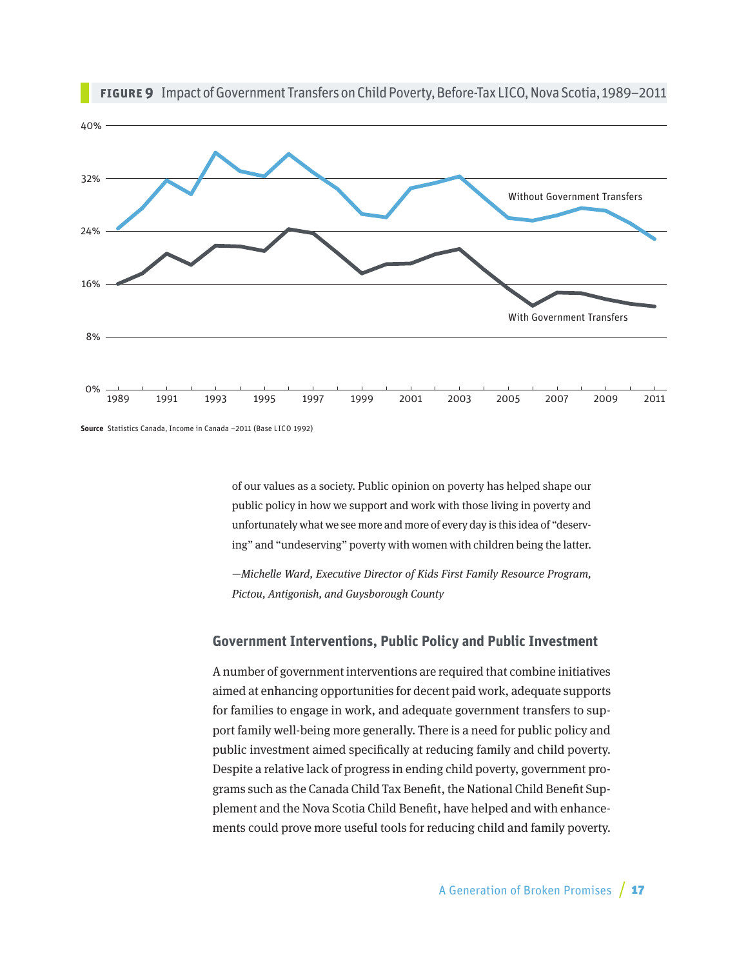

**Figure 9** Impact of Government Transfers on Child Poverty, Before-Tax LICO, Nova Scotia, 1989–2011

of our values as a society. Public opinion on poverty has helped shape our public policy in how we support and work with those living in poverty and unfortunately what we see more and more of every day is this idea of "deserving" and "undeserving" poverty with women with children being the latter.

—Michelle Ward, Executive Director of Kids First Family Resource Program, Pictou, Antigonish, and Guysborough County

#### **Government Interventions, Public Policy and Public Investment**

A number of government interventions are required that combine initiatives aimed at enhancing opportunities for decent paid work, adequate supports for families to engage in work, and adequate government transfers to support family well-being more generally. There is a need for public policy and public investment aimed specifically at reducing family and child poverty. Despite a relative lack of progress in ending child poverty, government programs such as the Canada Child Tax Benefit, the National Child Benefit Supplement and the Nova Scotia Child Benefit, have helped and with enhancements could prove more useful tools for reducing child and family poverty.

**Source** Statistics Canada, Income in Canada –2011 (Base LICO 1992)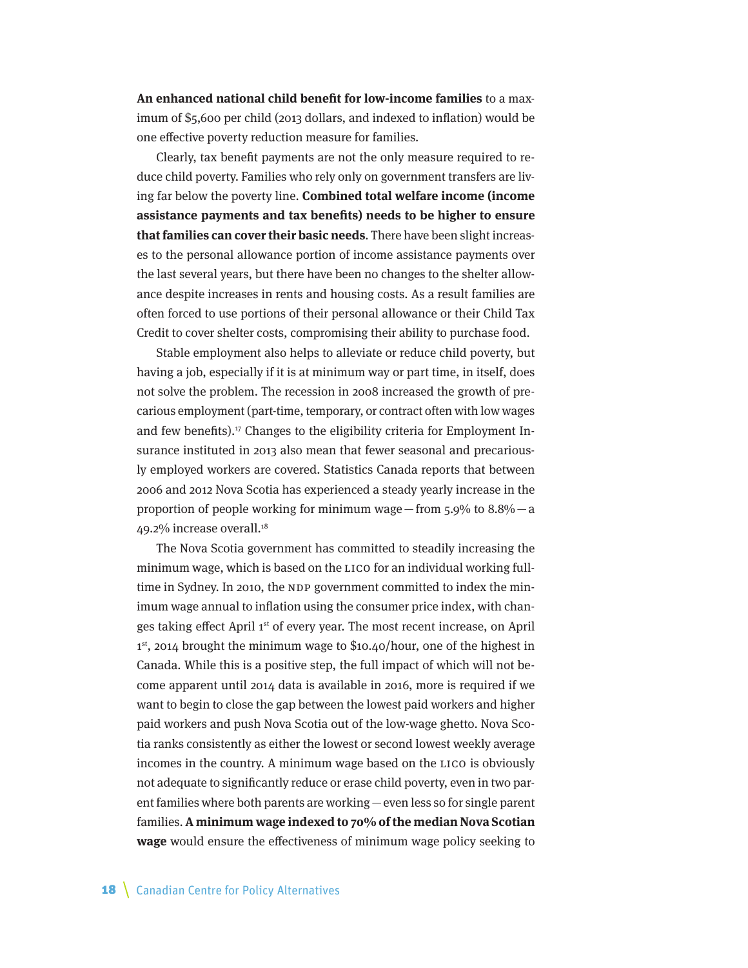**An enhanced national child benefit for low-income families** to a maximum of \$5,600 per child (2013 dollars, and indexed to inflation) would be one effective poverty reduction measure for families.

Clearly, tax benefit payments are not the only measure required to reduce child poverty. Families who rely only on government transfers are living far below the poverty line. **Combined total welfare income (income assistance payments and tax benefits) needs to be higher to ensure that families can cover their basic needs**. There have been slight increases to the personal allowance portion of income assistance payments over the last several years, but there have been no changes to the shelter allowance despite increases in rents and housing costs. As a result families are often forced to use portions of their personal allowance or their Child Tax Credit to cover shelter costs, compromising their ability to purchase food.

Stable employment also helps to alleviate or reduce child poverty, but having a job, especially if it is at minimum way or part time, in itself, does not solve the problem. The recession in 2008 increased the growth of precarious employment (part-time, temporary, or contract often with low wages and few benefits).<sup>17</sup> Changes to the eligibility criteria for Employment Insurance instituted in 2013 also mean that fewer seasonal and precariously employed workers are covered. Statistics Canada reports that between 2006 and 2012 Nova Scotia has experienced a steady yearly increase in the proportion of people working for minimum wage—from  $5.9\%$  to  $8.8\%$ —a 49.2% increase overall.<sup>18</sup>

The Nova Scotia government has committed to steadily increasing the minimum wage, which is based on the LICO for an individual working fulltime in Sydney. In 2010, the NDP government committed to index the minimum wage annual to inflation using the consumer price index, with changes taking effect April 1st of every year. The most recent increase, on April 1<sup>st</sup>, 2014 brought the minimum wage to \$10.40/hour, one of the highest in Canada. While this is a positive step, the full impact of which will not become apparent until 2014 data is available in 2016, more is required if we want to begin to close the gap between the lowest paid workers and higher paid workers and push Nova Scotia out of the low-wage ghetto. Nova Scotia ranks consistently as either the lowest or second lowest weekly average incomes in the country. A minimum wage based on the LICO is obviously not adequate to significantly reduce or erase child poverty, even in two parent families where both parents are working—even less so for single parent families. **A minimum wage indexed to 70% of the median Nova Scotian wage** would ensure the effectiveness of minimum wage policy seeking to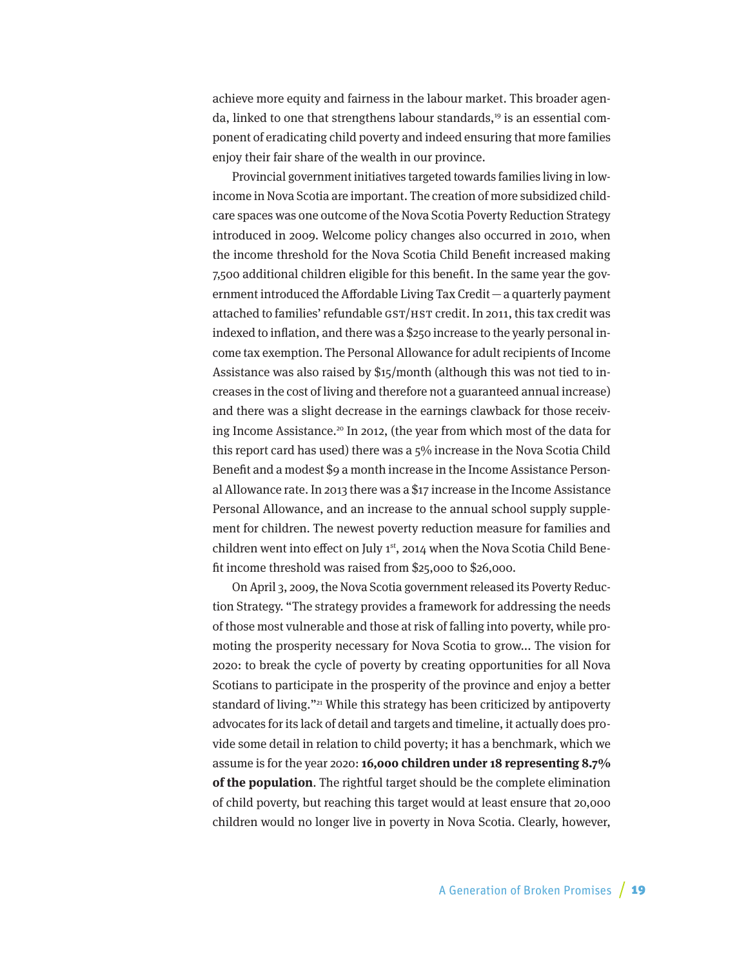achieve more equity and fairness in the labour market. This broader agenda, linked to one that strengthens labour standards,<sup>19</sup> is an essential component of eradicating child poverty and indeed ensuring that more families enjoy their fair share of the wealth in our province.

Provincial government initiatives targeted towards families living in lowincome in Nova Scotia are important. The creation of more subsidized childcare spaces was one outcome of the Nova Scotia Poverty Reduction Strategy introduced in 2009. Welcome policy changes also occurred in 2010, when the income threshold for the Nova Scotia Child Benefit increased making 7,500 additional children eligible for this benefit. In the same year the government introduced the Affordable Living Tax Credit—a quarterly payment attached to families' refundable GST/HST credit. In 2011, this tax credit was indexed to inflation, and there was a \$250 increase to the yearly personal income tax exemption. The Personal Allowance for adult recipients of Income Assistance was also raised by \$15/month (although this was not tied to increases in the cost of living and therefore not a guaranteed annual increase) and there was a slight decrease in the earnings clawback for those receiving Income Assistance.<sup>20</sup> In 2012, (the year from which most of the data for this report card has used) there was a 5% increase in the Nova Scotia Child Benefit and a modest \$9 a month increase in the Income Assistance Personal Allowance rate. In 2013 there was a \$17 increase in the Income Assistance Personal Allowance, and an increase to the annual school supply supplement for children. The newest poverty reduction measure for families and children went into effect on July 1<sup>st</sup>, 2014 when the Nova Scotia Child Benefit income threshold was raised from \$25,000 to \$26,000.

On April 3, 2009, the Nova Scotia government released its Poverty Reduction Strategy. "The strategy provides a framework for addressing the needs of those most vulnerable and those at risk of falling into poverty, while promoting the prosperity necessary for Nova Scotia to grow... The vision for 2020: to break the cycle of poverty by creating opportunities for all Nova Scotians to participate in the prosperity of the province and enjoy a better standard of living."<sup>21</sup> While this strategy has been criticized by antipoverty advocates for its lack of detail and targets and timeline, it actually does provide some detail in relation to child poverty; it has a benchmark, which we assume is for the year 2020: **16,000 children under 18 representing 8.7% of the population**. The rightful target should be the complete elimination of child poverty, but reaching this target would at least ensure that 20,000 children would no longer live in poverty in Nova Scotia. Clearly, however,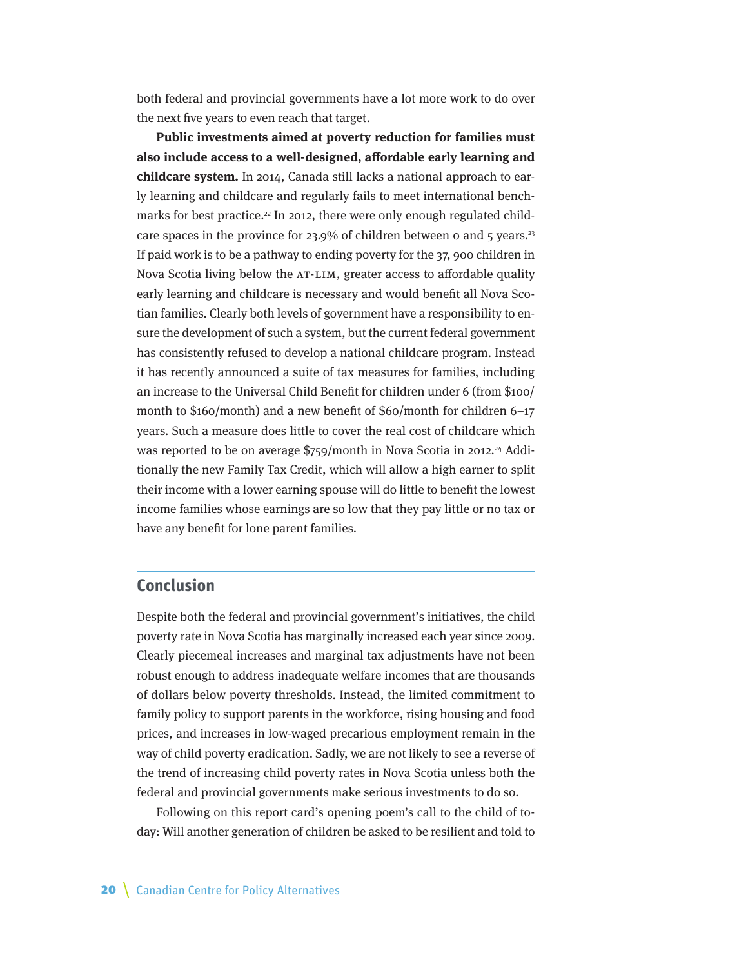<span id="page-19-0"></span>both federal and provincial governments have a lot more work to do over the next five years to even reach that target.

**Public investments aimed at poverty reduction for families must also include access to a well-designed, affordable early learning and childcare system.** In 2014, Canada still lacks a national approach to early learning and childcare and regularly fails to meet international benchmarks for best practice.<sup>22</sup> In 2012, there were only enough regulated childcare spaces in the province for 23.9% of children between 0 and 5 years.<sup>23</sup> If paid work is to be a pathway to ending poverty for the 37, 900 children in Nova Scotia living below the AT-LIM, greater access to affordable quality early learning and childcare is necessary and would benefit all Nova Scotian families. Clearly both levels of government have a responsibility to ensure the development of such a system, but the current federal government has consistently refused to develop a national childcare program. Instead it has recently announced a suite of tax measures for families, including an increase to the Universal Child Benefit for children under 6 (from \$100/ month to \$160/month) and a new benefit of \$60/month for children 6–17 years. Such a measure does little to cover the real cost of childcare which was reported to be on average \$759/month in Nova Scotia in 2012.<sup>24</sup> Additionally the new Family Tax Credit, which will allow a high earner to split their income with a lower earning spouse will do little to benefit the lowest income families whose earnings are so low that they pay little or no tax or have any benefit for lone parent families.

## **Conclusion**

Despite both the federal and provincial government's initiatives, the child poverty rate in Nova Scotia has marginally increased each year since 2009. Clearly piecemeal increases and marginal tax adjustments have not been robust enough to address inadequate welfare incomes that are thousands of dollars below poverty thresholds. Instead, the limited commitment to family policy to support parents in the workforce, rising housing and food prices, and increases in low-waged precarious employment remain in the way of child poverty eradication. Sadly, we are not likely to see a reverse of the trend of increasing child poverty rates in Nova Scotia unless both the federal and provincial governments make serious investments to do so.

Following on this report card's opening poem's call to the child of today: Will another generation of children be asked to be resilient and told to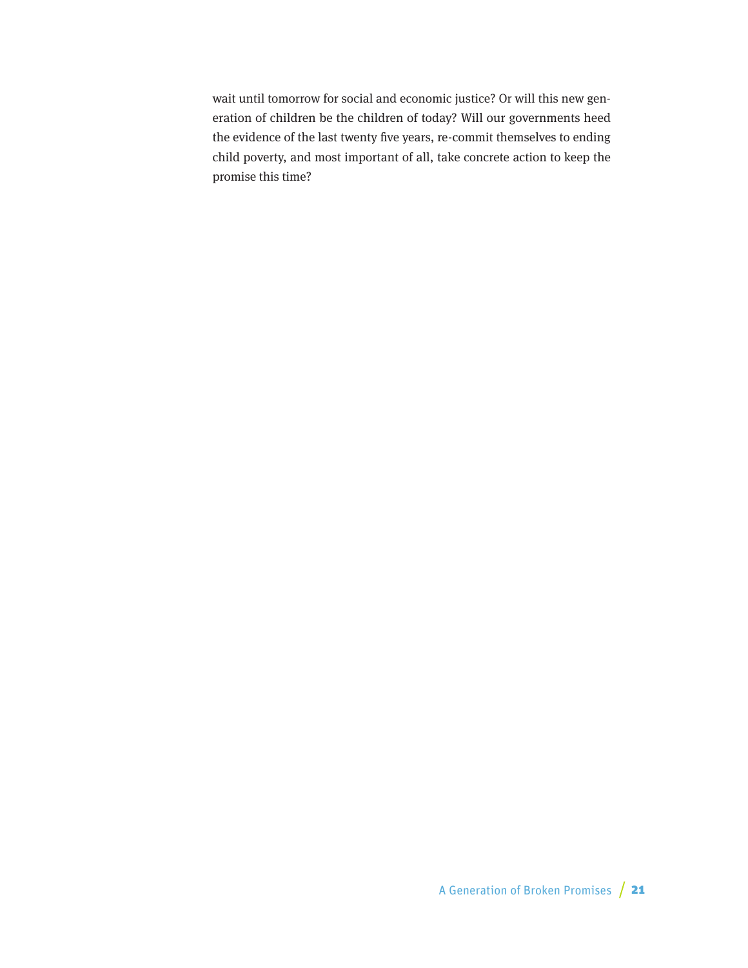wait until tomorrow for social and economic justice? Or will this new generation of children be the children of today? Will our governments heed the evidence of the last twenty five years, re-commit themselves to ending child poverty, and most important of all, take concrete action to keep the promise this time?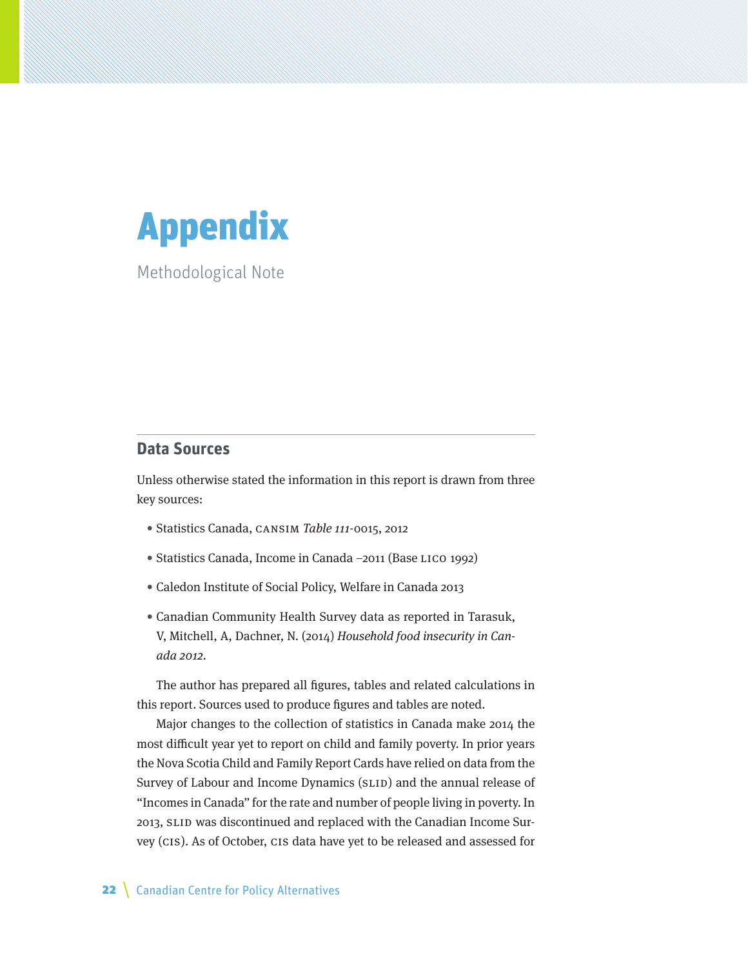<span id="page-21-0"></span>

Methodological Note

## **Data Sources**

Unless otherwise stated the information in this report is drawn from three key sources:

- Statistics Canada, CANSIM Table 111-0015, 2012
- Statistics Canada, Income in Canada –2011 (Base LICO 1992)
- Caledon Institute of Social Policy, Welfare in Canada 2013
- Canadian Community Health Survey data as reported in Tarasuk, V, Mitchell, A, Dachner, N. (2014) Household food insecurity in Canada 2012.

The author has prepared all figures, tables and related calculations in this report. Sources used to produce figures and tables are noted.

Major changes to the collection of statistics in Canada make 2014 the most difficult year yet to report on child and family poverty. In prior years the Nova Scotia Child and Family Report Cards have relied on data from the Survey of Labour and Income Dynamics (SLID) and the annual release of "Incomes in Canada" for the rate and number of people living in poverty. In 2013, SLID was discontinued and replaced with the Canadian Income Survey (CIS). As of October, CIS data have yet to be released and assessed for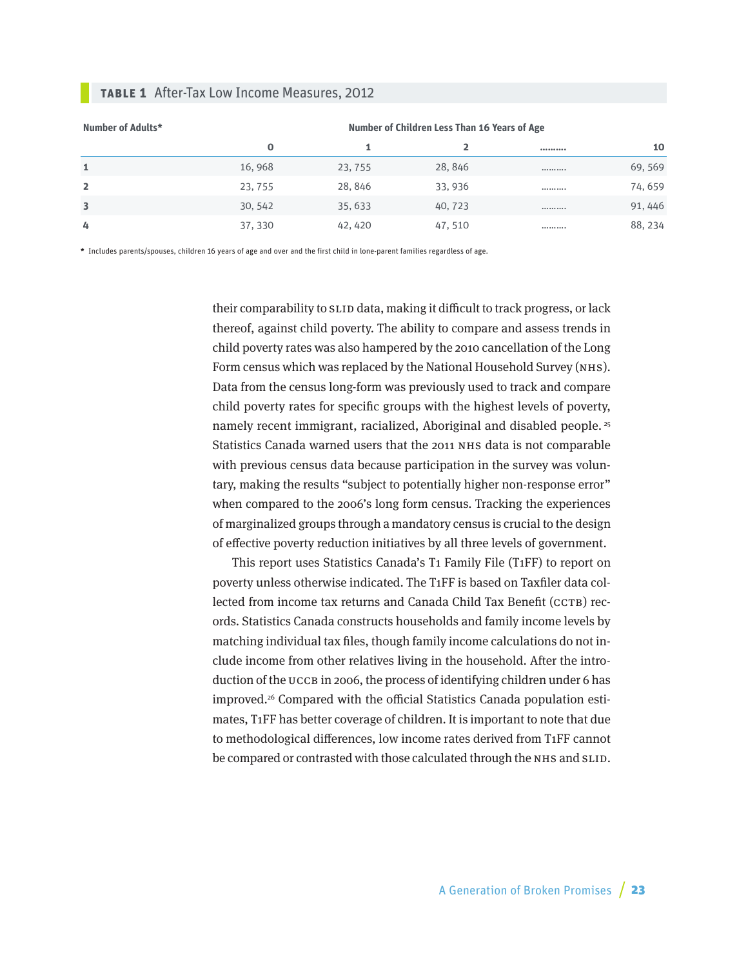#### **Table 1** After-Tax Low Income Measures, 2012

| Number of Adults* | Number of Children Less Than 16 Years of Age |         |         |  |         |
|-------------------|----------------------------------------------|---------|---------|--|---------|
|                   | 0                                            |         |         |  | 10      |
| 1                 | 16,968                                       | 23, 755 | 28, 846 |  | 69, 569 |
| $\overline{2}$    | 23, 755                                      | 28, 846 | 33,936  |  | 74,659  |
| 3                 | 30, 542                                      | 35, 633 | 40, 723 |  | 91, 446 |
| 4                 | 37, 330                                      | 42, 420 | 47, 510 |  | 88, 234 |

**\*** Includes parents/spouses, children 16 years of age and over and the first child in lone-parent families regardless of age.

their comparability to SLID data, making it difficult to track progress, or lack thereof, against child poverty. The ability to compare and assess trends in child poverty rates was also hampered by the 2010 cancellation of the Long Form census which was replaced by the National Household Survey (NHS). Data from the census long-form was previously used to track and compare child poverty rates for specific groups with the highest levels of poverty, namely recent immigrant, racialized, Aboriginal and disabled people. 25 Statistics Canada warned users that the 2011 NHS data is not comparable with previous census data because participation in the survey was voluntary, making the results "subject to potentially higher non-response error" when compared to the 2006's long form census. Tracking the experiences of marginalized groups through a mandatory census is crucial to the design of effective poverty reduction initiatives by all three levels of government.

This report uses Statistics Canada's T1 Family File (T1FF) to report on poverty unless otherwise indicated. The T1FF is based on Taxfiler data collected from income tax returns and Canada Child Tax Benefit (CCTB) records. Statistics Canada constructs households and family income levels by matching individual tax files, though family income calculations do not include income from other relatives living in the household. After the introduction of the UCCB in 2006, the process of identifying children under 6 has improved.<sup>26</sup> Compared with the official Statistics Canada population estimates, T1FF has better coverage of children. It is important to note that due to methodological differences, low income rates derived from T1FF cannot be compared or contrasted with those calculated through the NHS and SLID.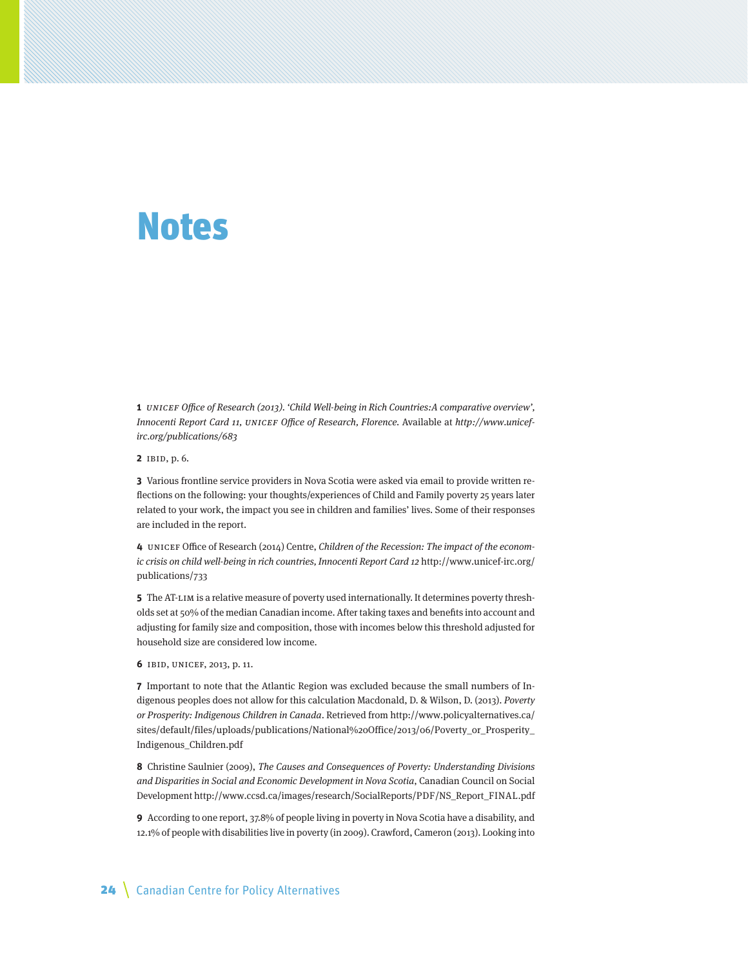# <span id="page-23-0"></span>Notes

**1** UNICEF Office of Research (2013). 'Child Well-being in Rich Countries:A comparative overview', Innocenti Report Card 11, UNICEF Office of Research, Florence. Available at http://www.unicefirc.org/publications/683

**2** IBID, p. 6.

**3** Various frontline service providers in Nova Scotia were asked via email to provide written reflections on the following: your thoughts/experiences of Child and Family poverty 25 years later related to your work, the impact you see in children and families' lives. Some of their responses are included in the report.

**4** UNICEF Office of Research (2014) Centre, Children of the Recession: The impact of the economic crisis on child well-being in rich countries, Innocenti Report Card 12 http://www.unicef-irc.org/ publications/733

**5** The AT-LIM is a relative measure of poverty used internationally. It determines poverty thresholds set at 50% of the median Canadian income. After taking taxes and benefits into account and adjusting for family size and composition, those with incomes below this threshold adjusted for household size are considered low income.

**6** IBID, UNICEF, 2013, p. 11.

**7** Important to note that the Atlantic Region was excluded because the small numbers of Indigenous peoples does not allow for this calculation Macdonald, D. & Wilson, D. (2013). Poverty or Prosperity: Indigenous Children in Canada. Retrieved from [http://www.policyalternatives.ca/](http://www.policyalternatives.ca/sites/default/files/uploads/publications/National%20Office/2013/06/Poverty_or_Prosperity_Indigenous_Children.pdf) [sites/default/files/uploads/publications/National%20Office/2013/06/Poverty\\_or\\_Prosperity\\_](http://www.policyalternatives.ca/sites/default/files/uploads/publications/National%20Office/2013/06/Poverty_or_Prosperity_Indigenous_Children.pdf) [Indigenous\\_Children.pdf](http://www.policyalternatives.ca/sites/default/files/uploads/publications/National%20Office/2013/06/Poverty_or_Prosperity_Indigenous_Children.pdf)

**8** Christine Saulnier (2009), The Causes and Consequences of Poverty: Understanding Divisions and Disparities in Social and Economic Development in Nova Scotia, Canadian Council on Social Development http://www.ccsd.ca/images/research/SocialReports/PDF/NS\_Report\_FINAL.pdf

**9** According to one report, 37.8% of people living in poverty in Nova Scotia have a disability, and 12.1% of people with disabilities live in poverty (in 2009). Crawford, Cameron (2013). Looking into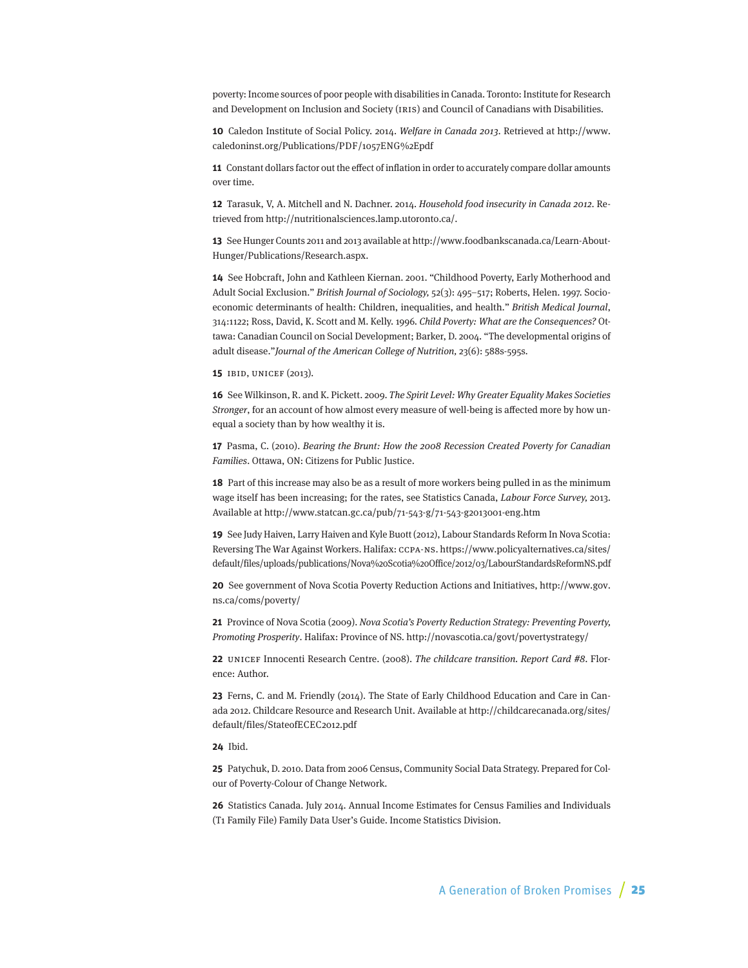poverty: Income sources of poor people with disabilities in Canada. Toronto: Institute for Research and Development on Inclusion and Society (IRIS) and Council of Canadians with Disabilities.

**10** Caledon Institute of Social Policy. 2014. Welfare in Canada 2013. Retrieved at http://www. caledoninst.org/Publications/PDF/1057ENG%2Epdf

**11** Constant dollars factor out the effect of inflation in order to accurately compare dollar amounts over time.

**12** Tarasuk, V, A. Mitchell and N. Dachner. 2014. Household food insecurity in Canada 2012. Retrieved from http://nutritionalsciences.lamp.utoronto.ca/.

**13** See Hunger Counts 2011 and 2013 available at http://www.foodbankscanada.ca/Learn-About-Hunger/Publications/Research.aspx.

**14** See Hobcraft, John and Kathleen Kiernan. 2001. "Childhood Poverty, Early Motherhood and Adult Social Exclusion." British Journal of Sociology, 52(3): 495–517; Roberts, Helen. 1997. Socioeconomic determinants of health: Children, inequalities, and health." British Medical Journal, 314:1122; Ross, David, K. Scott and M. Kelly. 1996. Child Poverty: What are the Consequences? Ottawa: Canadian Council on Social Development; Barker, D. 2004. "The developmental origins of adult disease."Journal of the American College of Nutrition, 23(6): 588s-595s.

**15** IBID, UNICEF (2013).

**16** See Wilkinson, R. and K. Pickett. 2009. The Spirit Level: Why Greater Equality Makes Societies Stronger, for an account of how almost every measure of well-being is affected more by how unequal a society than by how wealthy it is.

**17** Pasma, C. (2010). Bearing the Brunt: How the 2008 Recession Created Poverty for Canadian Families. Ottawa, ON: Citizens for Public Justice.

**18** Part of this increase may also be as a result of more workers being pulled in as the minimum wage itself has been increasing; for the rates, see Statistics Canada, Labour Force Survey, 2013. Available at http://www.statcan.gc.ca/pub/71-543-g/71-543-g2013001-eng.htm

**19** See Judy Haiven, Larry Haiven and Kyle Buott (2012), Labour Standards Reform In Nova Scotia: Reversing The War Against Workers. Halifax: CCPA-NS. https://www.policyalternatives.ca/sites/ default/files/uploads/publications/Nova%20Scotia%20Office/2012/03/LabourStandardsReformNS.pdf

**20** See government of Nova Scotia Poverty Reduction Actions and Initiatives, http://www.gov. ns.ca/coms/poverty/

**21** Province of Nova Scotia (2009). Nova Scotia's Poverty Reduction Strategy: Preventing Poverty, Promoting Prosperity. Halifax: Province of NS. http://novascotia.ca/govt/povertystrategy/

**22** UNICEF Innocenti Research Centre. (2008). The childcare transition. Report Card #8. Florence: Author.

**23** Ferns, C. and M. Friendly (2014). The State of Early Childhood Education and Care in Canada 2012. Childcare Resource and Research Unit. Available at http://childcarecanada.org/sites/ default/files/StateofECEC2012.pdf

**24** Ibid.

**25** Patychuk, D. 2010. Data from 2006 Census, Community Social Data Strategy. Prepared for Colour of Poverty-Colour of Change Network.

**26** Statistics Canada. July 2014. Annual Income Estimates for Census Families and Individuals (T1 Family File) Family Data User's Guide. Income Statistics Division.